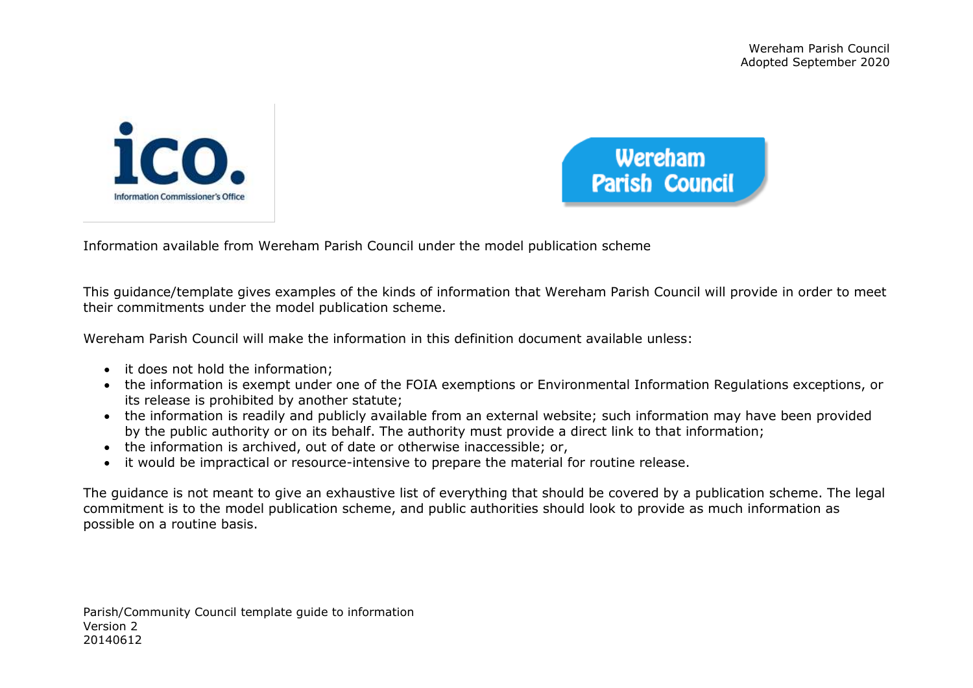



Information available from Wereham Parish Council under the model publication scheme

This guidance/template gives examples of the kinds of information that Wereham Parish Council will provide in order to meet their commitments under the model publication scheme.

Wereham Parish Council will make the information in this definition document available unless:

- it does not hold the information;
- the information is exempt under one of the FOIA exemptions or Environmental Information Regulations exceptions, or its release is prohibited by another statute;
- the information is readily and publicly available from an external website; such information may have been provided by the public authority or on its behalf. The authority must provide a direct link to that information;
- the information is archived, out of date or otherwise inaccessible; or,
- it would be impractical or resource-intensive to prepare the material for routine release.

The guidance is not meant to give an exhaustive list of everything that should be covered by a publication scheme. The legal commitment is to the model publication scheme, and public authorities should look to provide as much information as possible on a routine basis.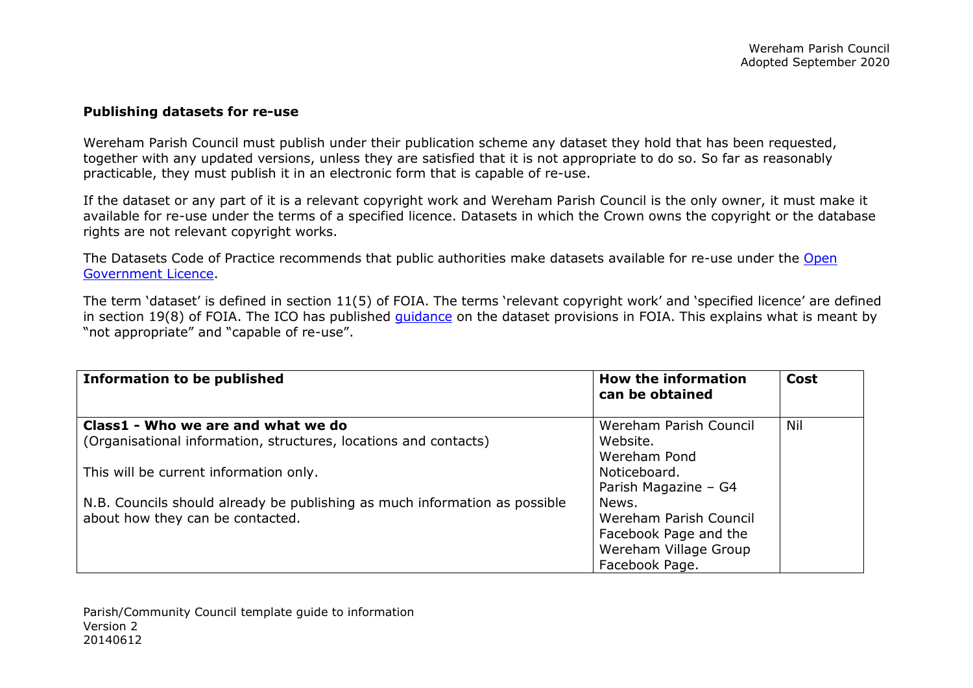## **Publishing datasets for re-use**

Wereham Parish Council must publish under their publication scheme any dataset they hold that has been requested, together with any updated versions, unless they are satisfied that it is not appropriate to do so. So far as reasonably practicable, they must publish it in an electronic form that is capable of re-use.

If the dataset or any part of it is a relevant copyright work and Wereham Parish Council is the only owner, it must make it available for re-use under the terms of a specified licence. Datasets in which the Crown owns the copyright or the database rights are not relevant copyright works.

The Datasets Code of Practice recommends that public authorities make datasets available for re-use under the [Open](http://www.nationalarchives.gov.uk/doc/open-government-licence/version/2/)  [Government Licence.](http://www.nationalarchives.gov.uk/doc/open-government-licence/version/2/)

The term 'dataset' is defined in section 11(5) of FOIA. The terms 'relevant copyright work' and 'specified licence' are defined in section 19(8) of FOIA. The ICO has published quidance on the dataset provisions in FOIA. This explains what is meant by "not appropriate" and "capable of re-use".

| <b>Information to be published</b>                                                                             | <b>How the information</b><br>can be obtained                                                       | Cost |
|----------------------------------------------------------------------------------------------------------------|-----------------------------------------------------------------------------------------------------|------|
| Class1 - Who we are and what we do<br>(Organisational information, structures, locations and contacts)         | Wereham Parish Council<br>Website.<br>Wereham Pond                                                  | Nil  |
| This will be current information only.                                                                         | Noticeboard.<br>Parish Magazine - G4                                                                |      |
| N.B. Councils should already be publishing as much information as possible<br>about how they can be contacted. | News.<br>Wereham Parish Council<br>Facebook Page and the<br>Wereham Village Group<br>Facebook Page. |      |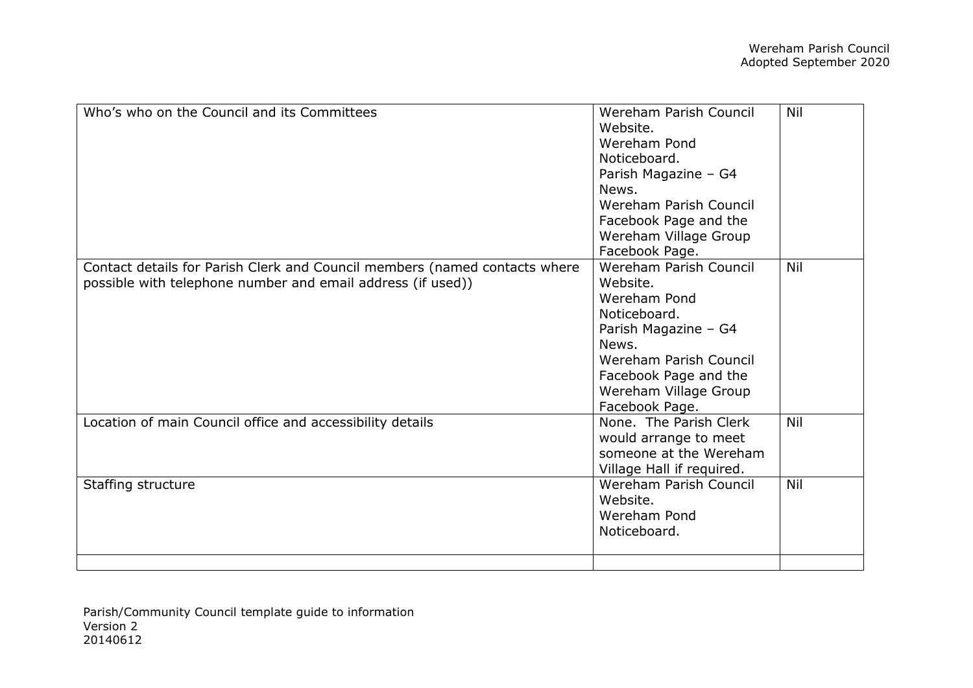| Who's who on the Council and its Committees                                                                                               | Wereham Parish Council<br>Website.<br>Wereham Pond<br>Noticeboard.<br>Parish Magazine - G4<br>News.<br>Wereham Parish Council<br>Facebook Page and the<br>Wereham Village Group<br>Facebook Page. | Nil |
|-------------------------------------------------------------------------------------------------------------------------------------------|---------------------------------------------------------------------------------------------------------------------------------------------------------------------------------------------------|-----|
| Contact details for Parish Clerk and Council members (named contacts where<br>possible with telephone number and email address (if used)) | Wereham Parish Council<br>Website.<br>Wereham Pond<br>Noticeboard.<br>Parish Magazine - G4<br>News.<br>Wereham Parish Council<br>Facebook Page and the<br>Wereham Village Group<br>Facebook Page. | Nil |
| Location of main Council office and accessibility details                                                                                 | None. The Parish Clerk<br>would arrange to meet<br>someone at the Wereham<br>Village Hall if required.                                                                                            | Nil |
| Staffing structure                                                                                                                        | Wereham Parish Council<br>Website.<br>Wereham Pond<br>Noticeboard.                                                                                                                                | Nil |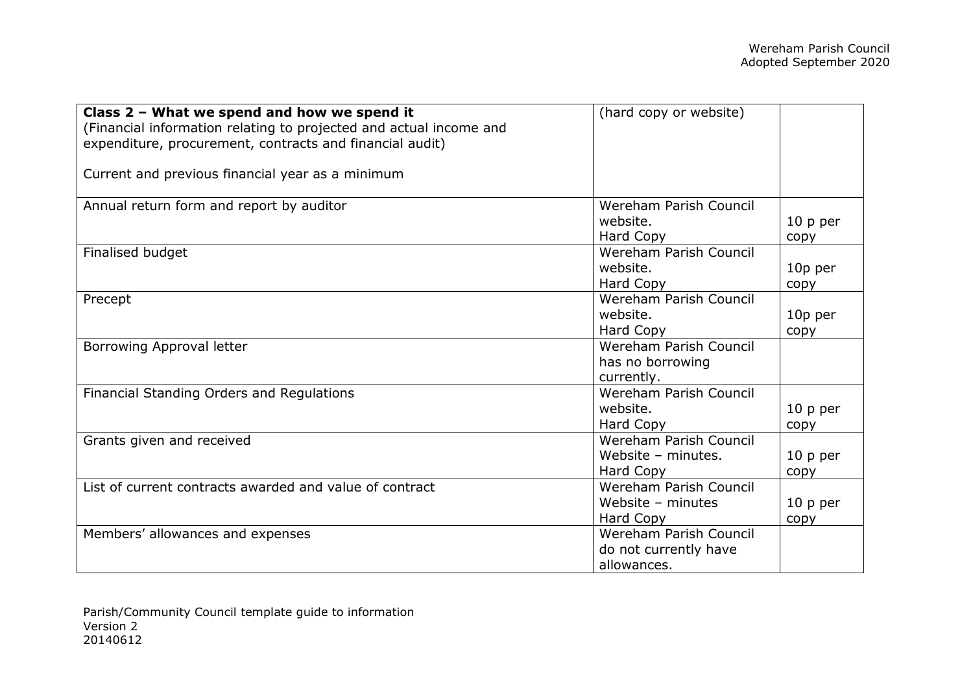| Class 2 - What we spend and how we spend it<br>(Financial information relating to projected and actual income and<br>expenditure, procurement, contracts and financial audit)<br>Current and previous financial year as a minimum | (hard copy or website)                                         |                   |
|-----------------------------------------------------------------------------------------------------------------------------------------------------------------------------------------------------------------------------------|----------------------------------------------------------------|-------------------|
| Annual return form and report by auditor                                                                                                                                                                                          | Wereham Parish Council<br>website.<br>Hard Copy                | 10 p per<br>copy  |
| Finalised budget                                                                                                                                                                                                                  | Wereham Parish Council<br>website.<br>Hard Copy                | 10p per<br>copy   |
| Precept                                                                                                                                                                                                                           | Wereham Parish Council<br>website.<br>Hard Copy                | 10p per<br>copy   |
| Borrowing Approval letter                                                                                                                                                                                                         | Wereham Parish Council<br>has no borrowing<br>currently.       |                   |
| Financial Standing Orders and Regulations                                                                                                                                                                                         | Wereham Parish Council<br>website.<br>Hard Copy                | 10 p per<br>copy  |
| Grants given and received                                                                                                                                                                                                         | Wereham Parish Council<br>Website - minutes.<br>Hard Copy      | 10 p per<br>copy  |
| List of current contracts awarded and value of contract                                                                                                                                                                           | Wereham Parish Council<br>Website - minutes<br>Hard Copy       | $10p$ per<br>copy |
| Members' allowances and expenses                                                                                                                                                                                                  | Wereham Parish Council<br>do not currently have<br>allowances. |                   |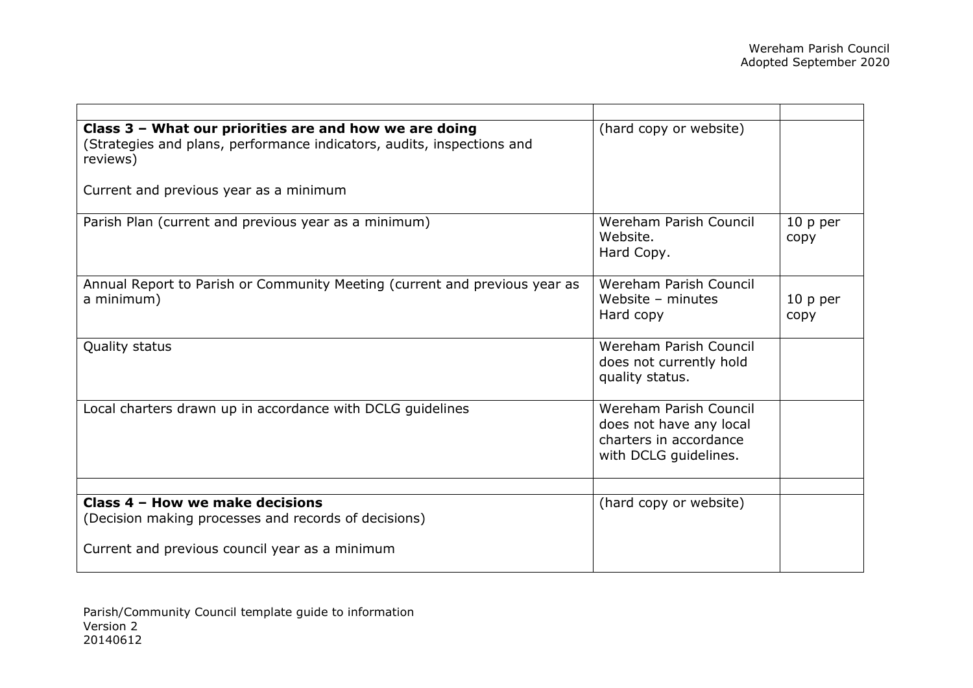| Class 3 - What our priorities are and how we are doing<br>(Strategies and plans, performance indicators, audits, inspections and<br>reviews)<br>Current and previous year as a minimum | (hard copy or website)                                                                               |                   |
|----------------------------------------------------------------------------------------------------------------------------------------------------------------------------------------|------------------------------------------------------------------------------------------------------|-------------------|
| Parish Plan (current and previous year as a minimum)                                                                                                                                   | Wereham Parish Council<br>Website.<br>Hard Copy.                                                     | $10p$ per<br>copy |
| Annual Report to Parish or Community Meeting (current and previous year as<br>a minimum)                                                                                               | Wereham Parish Council<br>Website $-$ minutes<br>Hard copy                                           | $10p$ per<br>copy |
| Quality status                                                                                                                                                                         | Wereham Parish Council<br>does not currently hold<br>quality status.                                 |                   |
| Local charters drawn up in accordance with DCLG guidelines                                                                                                                             | Wereham Parish Council<br>does not have any local<br>charters in accordance<br>with DCLG guidelines. |                   |
|                                                                                                                                                                                        |                                                                                                      |                   |
| Class 4 - How we make decisions<br>(Decision making processes and records of decisions)                                                                                                | (hard copy or website)                                                                               |                   |
| Current and previous council year as a minimum                                                                                                                                         |                                                                                                      |                   |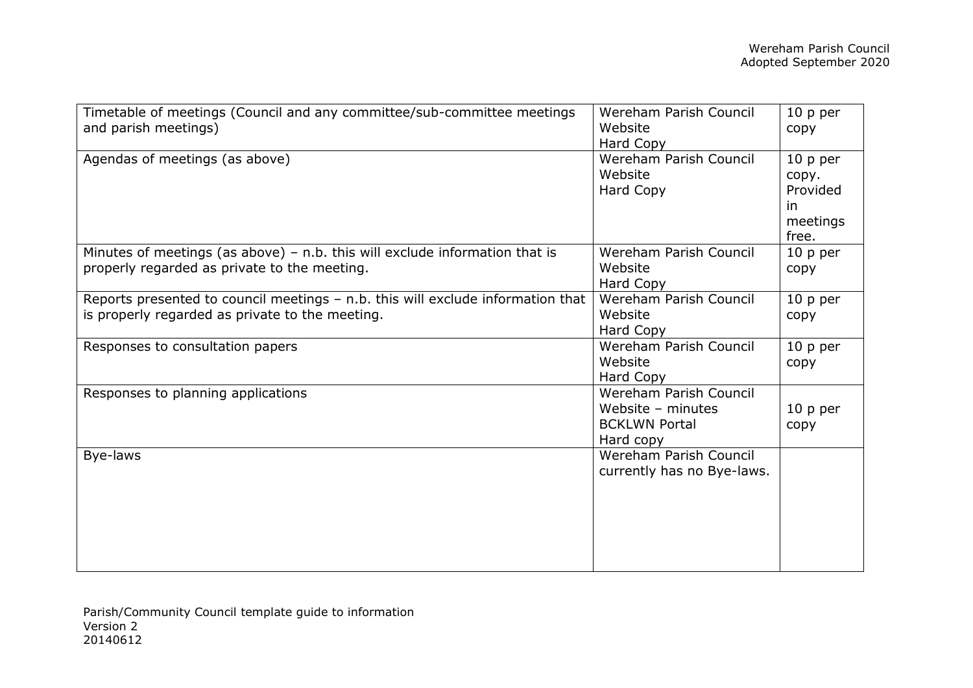| Timetable of meetings (Council and any committee/sub-committee meetings<br>and parish meetings)                                    | Wereham Parish Council<br>Website<br>Hard Copy                                   | 10 p per<br>copy                                         |
|------------------------------------------------------------------------------------------------------------------------------------|----------------------------------------------------------------------------------|----------------------------------------------------------|
| Agendas of meetings (as above)                                                                                                     | Wereham Parish Council<br>Website<br>Hard Copy                                   | 10 p per<br>copy.<br>Provided<br>in<br>meetings<br>free. |
| Minutes of meetings (as above) $-$ n.b. this will exclude information that is<br>properly regarded as private to the meeting.      | Wereham Parish Council<br>Website<br>Hard Copy                                   | 10 p per<br>copy                                         |
| Reports presented to council meetings - n.b. this will exclude information that<br>is properly regarded as private to the meeting. | Wereham Parish Council<br>Website<br>Hard Copy                                   | 10 p per<br>copy                                         |
| Responses to consultation papers                                                                                                   | Wereham Parish Council<br>Website<br>Hard Copy                                   | 10 p per<br>copy                                         |
| Responses to planning applications                                                                                                 | Wereham Parish Council<br>Website - minutes<br><b>BCKLWN Portal</b><br>Hard copy | 10 p per<br>copy                                         |
| Bye-laws                                                                                                                           | Wereham Parish Council<br>currently has no Bye-laws.                             |                                                          |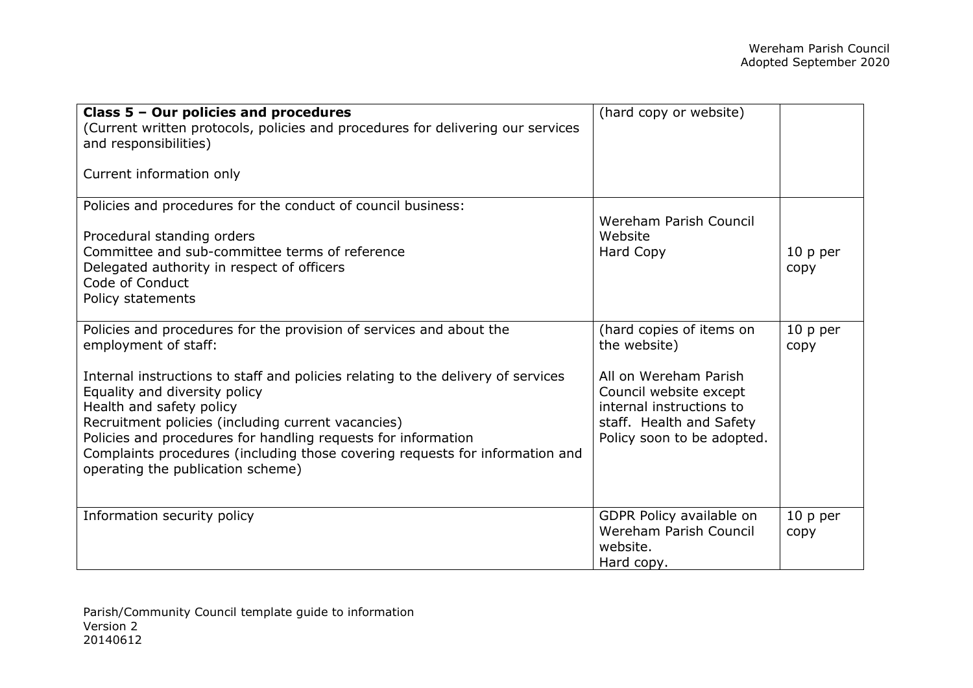| Class 5 - Our policies and procedures<br>(Current written protocols, policies and procedures for delivering our services<br>and responsibilities)<br>Current information only                                                                                                                                                                                                                                                                                                            | (hard copy or website)                                                                                                                                                            |                   |
|------------------------------------------------------------------------------------------------------------------------------------------------------------------------------------------------------------------------------------------------------------------------------------------------------------------------------------------------------------------------------------------------------------------------------------------------------------------------------------------|-----------------------------------------------------------------------------------------------------------------------------------------------------------------------------------|-------------------|
| Policies and procedures for the conduct of council business:<br>Procedural standing orders<br>Committee and sub-committee terms of reference<br>Delegated authority in respect of officers<br>Code of Conduct<br>Policy statements                                                                                                                                                                                                                                                       | Wereham Parish Council<br>Website<br>Hard Copy                                                                                                                                    | $10p$ per<br>copy |
| Policies and procedures for the provision of services and about the<br>employment of staff:<br>Internal instructions to staff and policies relating to the delivery of services<br>Equality and diversity policy<br>Health and safety policy<br>Recruitment policies (including current vacancies)<br>Policies and procedures for handling requests for information<br>Complaints procedures (including those covering requests for information and<br>operating the publication scheme) | (hard copies of items on<br>the website)<br>All on Wereham Parish<br>Council website except<br>internal instructions to<br>staff. Health and Safety<br>Policy soon to be adopted. | $10p$ per<br>copy |
| Information security policy                                                                                                                                                                                                                                                                                                                                                                                                                                                              | GDPR Policy available on<br>Wereham Parish Council<br>website.<br>Hard copy.                                                                                                      | 10 p per<br>copy  |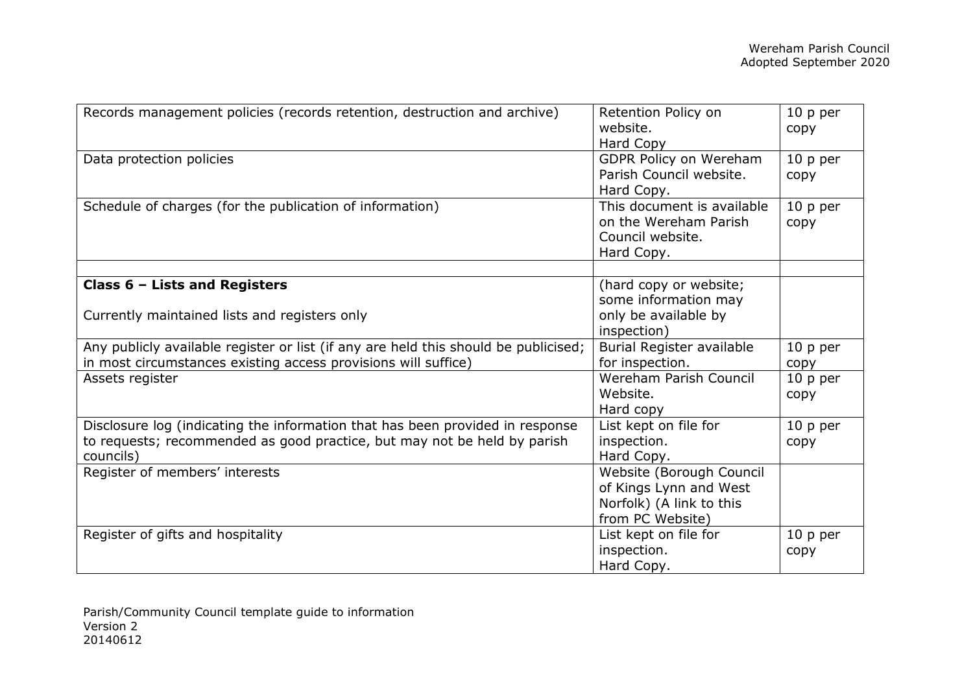| Records management policies (records retention, destruction and archive)            | Retention Policy on        | 10 p per  |
|-------------------------------------------------------------------------------------|----------------------------|-----------|
|                                                                                     | website.                   | copy      |
|                                                                                     | Hard Copy                  |           |
| Data protection policies                                                            | GDPR Policy on Wereham     | 10 p per  |
|                                                                                     | Parish Council website.    | copy      |
|                                                                                     | Hard Copy.                 |           |
| Schedule of charges (for the publication of information)                            | This document is available | 10 p per  |
|                                                                                     | on the Wereham Parish      | copy      |
|                                                                                     | Council website.           |           |
|                                                                                     | Hard Copy.                 |           |
|                                                                                     |                            |           |
| Class $6$ – Lists and Registers                                                     | (hard copy or website;     |           |
|                                                                                     | some information may       |           |
| Currently maintained lists and registers only                                       | only be available by       |           |
|                                                                                     | inspection)                |           |
| Any publicly available register or list (if any are held this should be publicised; | Burial Register available  | 10 p per  |
| in most circumstances existing access provisions will suffice)                      | for inspection.            | copy      |
| Assets register                                                                     | Wereham Parish Council     | 10 p per  |
|                                                                                     | Website.                   | copy      |
|                                                                                     | Hard copy                  |           |
| Disclosure log (indicating the information that has been provided in response       | List kept on file for      | 10 p per  |
| to requests; recommended as good practice, but may not be held by parish            | inspection.                | copy      |
| councils)                                                                           | Hard Copy.                 |           |
| Register of members' interests                                                      | Website (Borough Council   |           |
|                                                                                     | of Kings Lynn and West     |           |
|                                                                                     | Norfolk) (A link to this   |           |
|                                                                                     | from PC Website)           |           |
| Register of gifts and hospitality                                                   | List kept on file for      | $10p$ per |
|                                                                                     | inspection.                | copy      |
|                                                                                     | Hard Copy.                 |           |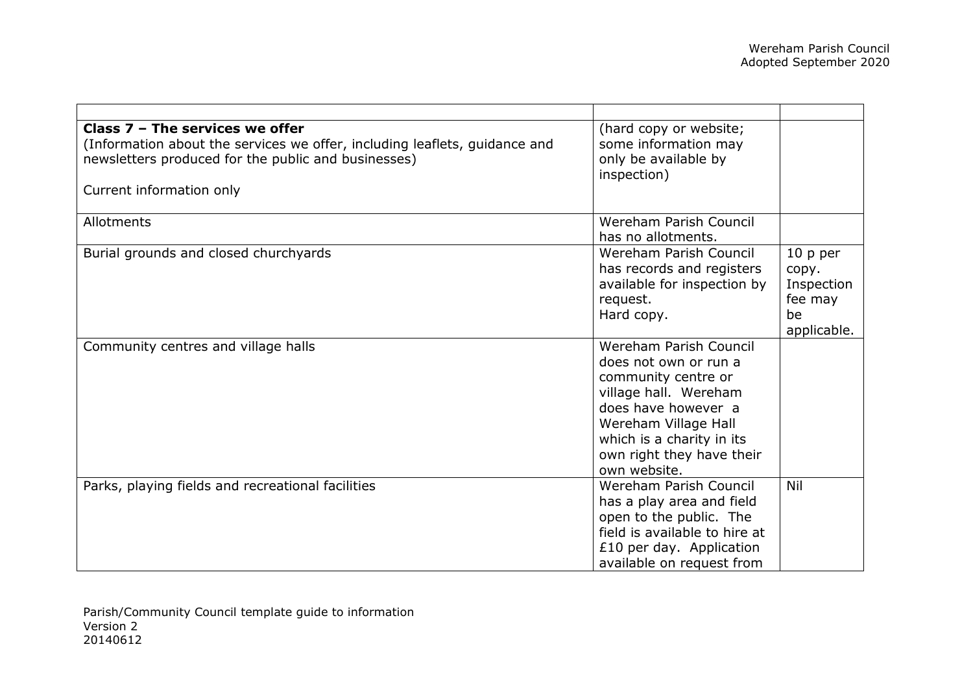| Class $7 -$ The services we offer                                          | (hard copy or website;        |             |
|----------------------------------------------------------------------------|-------------------------------|-------------|
| (Information about the services we offer, including leaflets, guidance and | some information may          |             |
| newsletters produced for the public and businesses)                        | only be available by          |             |
|                                                                            | inspection)                   |             |
| Current information only                                                   |                               |             |
|                                                                            |                               |             |
| Allotments                                                                 | Wereham Parish Council        |             |
|                                                                            | has no allotments.            |             |
| Burial grounds and closed churchyards                                      | Wereham Parish Council        | 10 p per    |
|                                                                            | has records and registers     | copy.       |
|                                                                            | available for inspection by   | Inspection  |
|                                                                            | request.                      | fee may     |
|                                                                            | Hard copy.                    | be          |
|                                                                            |                               | applicable. |
| Community centres and village halls                                        | Wereham Parish Council        |             |
|                                                                            | does not own or run a         |             |
|                                                                            | community centre or           |             |
|                                                                            | village hall. Wereham         |             |
|                                                                            | does have however a           |             |
|                                                                            | Wereham Village Hall          |             |
|                                                                            | which is a charity in its     |             |
|                                                                            | own right they have their     |             |
|                                                                            | own website.                  |             |
| Parks, playing fields and recreational facilities                          | Wereham Parish Council        | Nil         |
|                                                                            | has a play area and field     |             |
|                                                                            | open to the public. The       |             |
|                                                                            | field is available to hire at |             |
|                                                                            | £10 per day. Application      |             |
|                                                                            | available on request from     |             |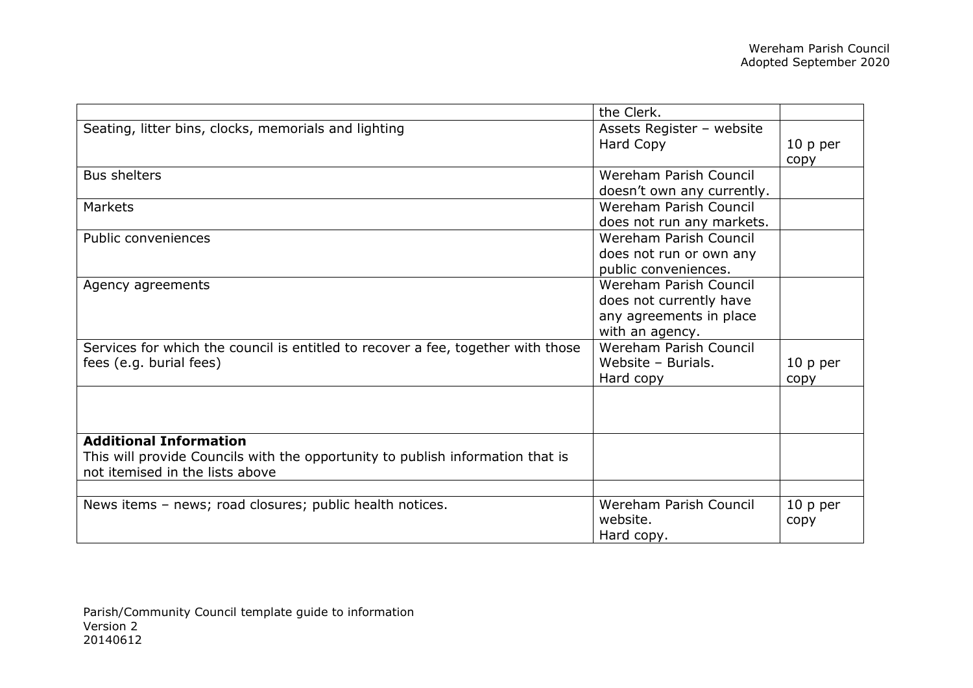|                                                                                  | the Clerk.                 |          |
|----------------------------------------------------------------------------------|----------------------------|----------|
| Seating, litter bins, clocks, memorials and lighting                             | Assets Register - website  |          |
|                                                                                  | Hard Copy                  | 10 p per |
|                                                                                  |                            | copy     |
| <b>Bus shelters</b>                                                              | Wereham Parish Council     |          |
|                                                                                  | doesn't own any currently. |          |
| Markets                                                                          | Wereham Parish Council     |          |
|                                                                                  | does not run any markets.  |          |
| Public conveniences                                                              | Wereham Parish Council     |          |
|                                                                                  | does not run or own any    |          |
|                                                                                  | public conveniences.       |          |
| Agency agreements                                                                | Wereham Parish Council     |          |
|                                                                                  | does not currently have    |          |
|                                                                                  | any agreements in place    |          |
|                                                                                  | with an agency.            |          |
| Services for which the council is entitled to recover a fee, together with those | Wereham Parish Council     |          |
| fees (e.g. burial fees)                                                          | Website - Burials.         | 10 p per |
|                                                                                  | Hard copy                  | copy     |
|                                                                                  |                            |          |
|                                                                                  |                            |          |
|                                                                                  |                            |          |
| <b>Additional Information</b>                                                    |                            |          |
| This will provide Councils with the opportunity to publish information that is   |                            |          |
| not itemised in the lists above                                                  |                            |          |
|                                                                                  |                            |          |
| News items - news; road closures; public health notices.                         | Wereham Parish Council     | 10 p per |
|                                                                                  | website.                   | copy     |
|                                                                                  | Hard copy.                 |          |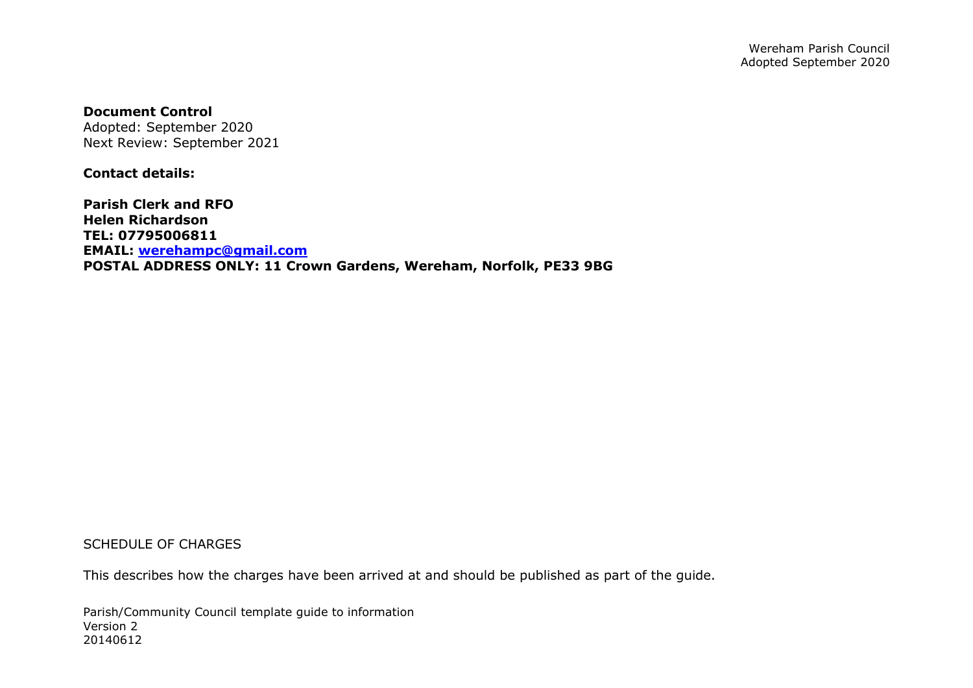## **Document Control**

Adopted: September 2020 Next Review: September 2021

**Contact details:**

**Parish Clerk and RFO Helen Richardson TEL: 07795006811 EMAIL: [werehampc@gmail.com](mailto:werehampc@gmail.com) POSTAL ADDRESS ONLY: 11 Crown Gardens, Wereham, Norfolk, PE33 9BG**

## SCHEDULE OF CHARGES

This describes how the charges have been arrived at and should be published as part of the guide.